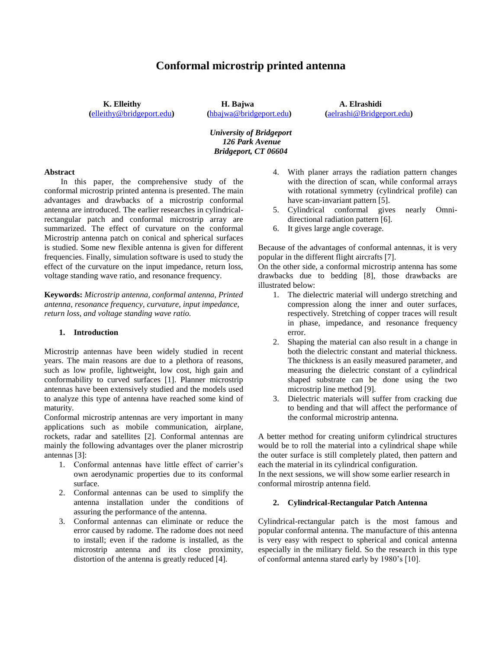# **Conformal microstrip printed antenna**

**K. Elleithy H. Bajwa A. Elrashidi**

**(**[elleithy@bridgeport.edu](mailto:elleithy@bridgeport.edu)**) (**[hbajwa@bridgeport.edu](mailto:hbajwa@bridgeport.edu)**) (**aelrashi@Bridgeport.edu**)**

*University of Bridgeport 126 Park Avenue Bridgeport, CT 06604*

#### **Abstract**

 In this paper, the comprehensive study of the conformal microstrip printed antenna is presented. The main advantages and drawbacks of a microstrip conformal antenna are introduced. The earlier researches in cylindricalrectangular patch and conformal microstrip array are summarized. The effect of curvature on the conformal Microstrip antenna patch on conical and spherical surfaces is studied. Some new flexible antenna is given for different frequencies. Finally, simulation software is used to study the effect of the curvature on the input impedance, return loss, voltage standing wave ratio, and resonance frequency.

**Keywords:** *Microstrip antenna, conformal antenna, Printed antenna, resonance frequency, curvature, input impedance, return loss, and voltage standing wave ratio.*

### **1. Introduction**

Microstrip antennas have been widely studied in recent years. The main reasons are due to a plethora of reasons, such as low profile, lightweight, low cost, high gain and conformability to curved surfaces [1]. Planner microstrip antennas have been extensively studied and the models used to analyze this type of antenna have reached some kind of maturity.

Conformal microstrip antennas are very important in many applications such as mobile communication, airplane, rockets, radar and satellites [2]. Conformal antennas are mainly the following advantages over the planer microstrip antennas [3]:

- 1. Conformal antennas have little effect of carrier's own aerodynamic properties due to its conformal surface.
- 2. Conformal antennas can be used to simplify the antenna installation under the conditions of assuring the performance of the antenna.
- 3. Conformal antennas can eliminate or reduce the error caused by radome. The radome does not need to install; even if the radome is installed, as the microstrip antenna and its close proximity, distortion of the antenna is greatly reduced [4].
- 4. With planer arrays the radiation pattern changes with the direction of scan, while conformal arrays with rotational symmetry (cylindrical profile) can have scan-invariant pattern [5].
- 5. Cylindrical conformal gives nearly Omnidirectional radiation pattern [6].
- 6. It gives large angle coverage.

Because of the advantages of conformal antennas, it is very popular in the different flight aircrafts [7].

On the other side, a conformal microstrip antenna has some drawbacks due to bedding [8], those drawbacks are illustrated below:

- 1. The dielectric material will undergo stretching and compression along the inner and outer surfaces, respectively. Stretching of copper traces will result in phase, impedance, and resonance frequency error.
- 2. Shaping the material can also result in a change in both the dielectric constant and material thickness. The thickness is an easily measured parameter, and measuring the dielectric constant of a cylindrical shaped substrate can be done using the two microstrip line method [9].
- 3. Dielectric materials will suffer from cracking due to bending and that will affect the performance of the conformal microstrip antenna.

A better method for creating uniform cylindrical structures would be to roll the material into a cylindrical shape while the outer surface is still completely plated, then pattern and each the material in its cylindrical configuration.

In the next sessions, we will show some earlier research in conformal mirostrip antenna field.

#### **2. Cylindrical-Rectangular Patch Antenna**

Cylindrical-rectangular patch is the most famous and popular conformal antenna. The manufacture of this antenna is very easy with respect to spherical and conical antenna especially in the military field. So the research in this type of conformal antenna stared early by 1980's [10].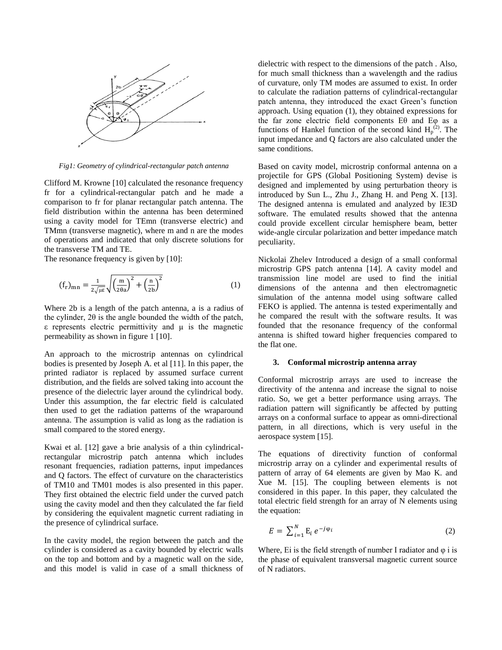

*Fig1: Geometry of cylindrical-rectangular patch antenna*

Clifford M. Krowne [10] calculated the resonance frequency fr for a cylindrical-rectangular patch and he made a comparison to fr for planar rectangular patch antenna. The field distribution within the antenna has been determined using a cavity model for TEmn (transverse electric) and TMmn (transverse magnetic), where m and n are the modes of operations and indicated that only discrete solutions for the transverse TM and TE.

The resonance frequency is given by [10]:

$$
\left(\mathbf{f}_{\mathbf{r}}\right)_{\text{mn}} = \frac{1}{2\sqrt{\mu\varepsilon}} \sqrt{\left(\frac{\mathbf{m}}{2\theta a}\right)^2 + \left(\frac{\mathbf{n}}{2b}\right)^2} \tag{1}
$$

Where 2b is a length of the patch antenna, a is a radius of the cylinder, 2θ is the angle bounded the width of the patch, ε represents electric permittivity and is the magnetic permeability as shown in figure 1 [10].

An approach to the microstrip antennas on cylindrical bodies is presented by Joseph A. et al [11]. In this paper, the printed radiator is replaced by assumed surface current distribution, and the fields are solved taking into account the presence of the dielectric layer around the cylindrical body. Under this assumption, the far electric field is calculated then used to get the radiation patterns of the wraparound antenna. The assumption is valid as long as the radiation is small compared to the stored energy.

Kwai et al. [12] gave a brie analysis of a thin cylindricalrectangular microstrip patch antenna which includes resonant frequencies, radiation patterns, input impedances and Q factors. The effect of curvature on the characteristics of TM10 and TM01 modes is also presented in this paper. They first obtained the electric field under the curved patch using the cavity model and then they calculated the far field by considering the equivalent magnetic current radiating in the presence of cylindrical surface.

In the cavity model, the region between the patch and the cylinder is considered as a cavity bounded by electric walls on the top and bottom and by a magnetic wall on the side, and this model is valid in case of a small thickness of dielectric with respect to the dimensions of the patch . Also, for much small thickness than a wavelength and the radius of curvature, only TM modes are assumed to exist. In order to calculate the radiation patterns of cylindrical-rectangular patch antenna, they introduced the exact Green's function approach. Using equation (1), they obtained expressions for the far zone electric field components Eθ and Eφ as a functions of Hankel function of the second kind  $H_p^{(2)}$ . The input impedance and Q factors are also calculated under the same conditions.

Based on cavity model, microstrip conformal antenna on a projectile for GPS (Global Positioning System) devise is designed and implemented by using perturbation theory is introduced by Sun L., Zhu J., Zhang H. and Peng X. [13]. The designed antenna is emulated and analyzed by IE3D software. The emulated results showed that the antenna could provide excellent circular hemisphere beam, better wide-angle circular polarization and better impedance match peculiarity.

Nickolai Zhelev Introduced a design of a small conformal microstrip GPS patch antenna [14]. A cavity model and transmission line model are used to find the initial dimensions of the antenna and then electromagnetic simulation of the antenna model using software called FEKO is applied. The antenna is tested experimentally and he compared the result with the software results. It was founded that the resonance frequency of the conformal antenna is shifted toward higher frequencies compared to the flat one.

### **3. Conformal microstrip antenna array**

Conformal microstrip arrays are used to increase the directivity of the antenna and increase the signal to noise ratio. So, we get a better performance using arrays. The radiation pattern will significantly be affected by putting arrays on a conformal surface to appear as omni-directional pattern, in all directions, which is very useful in the aerospace system [15].

The equations of directivity function of conformal microstrip array on a cylinder and experimental results of pattern of array of 64 elements are given by Mao K. and Xue M. [15]. The coupling between elements is not considered in this paper. In this paper, they calculated the total electric field strength for an array of N elements using the equation:

$$
E = \sum_{i=1}^{N} \mathbf{E}_i \, e^{-j\varphi_i} \tag{2}
$$

Where, Ei is the field strength of number I radiator and  $\varphi$  i is the phase of equivalent transversal magnetic current source of N radiators.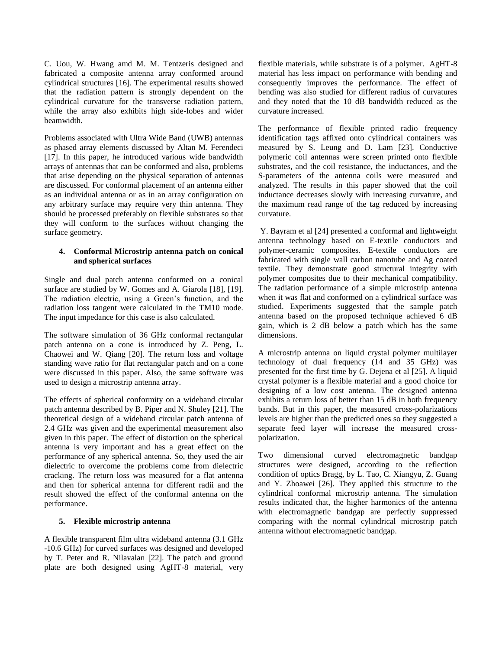C. Uou, W. Hwang amd M. M. Tentzeris designed and fabricated a composite antenna array conformed around cylindrical structures [16]. The experimental results showed that the radiation pattern is strongly dependent on the cylindrical curvature for the transverse radiation pattern, while the array also exhibits high side-lobes and wider beamwidth.

Problems associated with Ultra Wide Band (UWB) antennas as phased array elements discussed by Altan M. Ferendeci [17]. In this paper, he introduced various wide bandwidth arrays of antennas that can be conformed and also, problems that arise depending on the physical separation of antennas are discussed. For conformal placement of an antenna either as an individual antenna or as in an array configuration on any arbitrary surface may require very thin antenna. They should be processed preferably on flexible substrates so that they will conform to the surfaces without changing the surface geometry.

## **4. Conformal Microstrip antenna patch on conical and spherical surfaces**

Single and dual patch antenna conformed on a conical surface are studied by W. Gomes and A. Giarola [18], [19]. The radiation electric, using a Green's function, and the radiation loss tangent were calculated in the TM10 mode. The input impedance for this case is also calculated.

The software simulation of 36 GHz conformal rectangular patch antenna on a cone is introduced by Z. Peng, L. Chaowei and W. Qiang [20]. The return loss and voltage standing wave ratio for flat rectangular patch and on a cone were discussed in this paper. Also, the same software was used to design a microstrip antenna array.

The effects of spherical conformity on a wideband circular patch antenna described by B. Piper and N. Shuley [21]. The theoretical design of a wideband circular patch antenna of 2.4 GHz was given and the experimental measurement also given in this paper. The effect of distortion on the spherical antenna is very important and has a great effect on the performance of any spherical antenna. So, they used the air dielectric to overcome the problems come from dielectric cracking. The return loss was measured for a flat antenna and then for spherical antenna for different radii and the result showed the effect of the conformal antenna on the performance.

## **5. Flexible microstrip antenna**

A flexible transparent film ultra wideband antenna (3.1 GHz -10.6 GHz) for curved surfaces was designed and developed by T. Peter and R. Nilavalan [22]. The patch and ground plate are both designed using AgHT-8 material, very flexible materials, while substrate is of a polymer. AgHT-8 material has less impact on performance with bending and consequently improves the performance. The effect of bending was also studied for different radius of curvatures and they noted that the 10 dB bandwidth reduced as the curvature increased.

The performance of flexible printed radio frequency identification tags affixed onto cylindrical containers was measured by S. Leung and D. Lam [23]. Conductive polymeric coil antennas were screen printed onto flexible substrates, and the coil resistance, the inductances, and the S-parameters of the antenna coils were measured and analyzed. The results in this paper showed that the coil inductance decreases slowly with increasing curvature, and the maximum read range of the tag reduced by increasing curvature.

Y. Bayram et al [24] presented a conformal and lightweight antenna technology based on E-textile conductors and polymer-ceramic composites. E-textile conductors are fabricated with single wall carbon nanotube and Ag coated textile. They demonstrate good structural integrity with polymer composites due to their mechanical compatibility. The radiation performance of a simple microstrip antenna when it was flat and conformed on a cylindrical surface was studied. Experiments suggested that the sample patch antenna based on the proposed technique achieved 6 dB gain, which is 2 dB below a patch which has the same dimensions.

A microstrip antenna on liquid crystal polymer multilayer technology of dual frequency (14 and 35 GHz) was presented for the first time by G. Dejena et al [25]. A liquid crystal polymer is a flexible material and a good choice for designing of a low cost antenna. The designed antenna exhibits a return loss of better than 15 dB in both frequency bands. But in this paper, the measured cross-polarizations levels are higher than the predicted ones so they suggested a separate feed layer will increase the measured crosspolarization.

Two dimensional curved electromagnetic bandgap structures were designed, according to the reflection condition of optics Bragg, by L. Tao, C. Xiangyu, Z. Guang and Y. Zhoawei [26]. They applied this structure to the cylindrical conformal microstrip antenna. The simulation results indicated that, the higher harmonics of the antenna with electromagnetic bandgap are perfectly suppressed comparing with the normal cylindrical microstrip patch antenna without electromagnetic bandgap.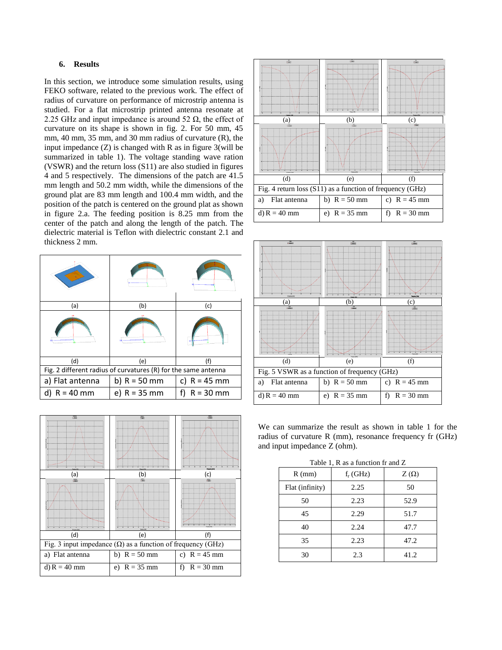## **6. Results**

In this section, we introduce some simulation results, using FEKO software, related to the previous work. The effect of radius of curvature on performance of microstrip antenna is studied. For a flat microstrip printed antenna resonate at 2.25 GHz and input impedance is around 52  $\Omega$ , the effect of curvature on its shape is shown in fig. 2. For 50 mm, 45 mm, 40 mm, 35 mm, and 30 mm radius of curvature (R), the input impedance (Z) is changed with R as in figure 3(will be summarized in table 1). The voltage standing wave ration (VSWR) and the return loss (S11) are also studied in figures 4 and 5 respectively. The dimensions of the patch are 41.5 mm length and 50.2 mm width, while the dimensions of the ground plat are 83 mm length and 100.4 mm width, and the position of the patch is centered on the ground plat as shown in figure 2.a. The feeding position is 8.25 mm from the center of the patch and along the length of the patch. The dielectric material is Teflon with dielectric constant 2.1 and thickness 2 mm.

| (a)                                                            | (b)            | (c)               |  |
|----------------------------------------------------------------|----------------|-------------------|--|
|                                                                |                |                   |  |
| (d)                                                            | (e)            | (f)               |  |
| Fig. 2 different radius of curvatures (R) for the same antenna |                |                   |  |
| a) Flat antenna                                                | b) $R = 50$ mm | c) $R = 45$ mm    |  |
| $R = 40$ mm                                                    | e) $R = 35$ mm | f)<br>$R = 30$ mm |  |







We can summarize the result as shown in table 1 for the radius of curvature R (mm), resonance frequency fr (GHz) and input impedance Z (ohm).

| $R$ (mm)        | $f_r$ (GHz) | $Z(\Omega)$ |
|-----------------|-------------|-------------|
| Flat (infinity) | 2.25        | 50          |
| 50              | 2.23        | 52.9        |
| 45              | 2.29        | 51.7        |
| 40              | 2.24        | 47.7        |
| 35              | 2.23        | 47.2        |
| 30              | 2.3         | 41.2        |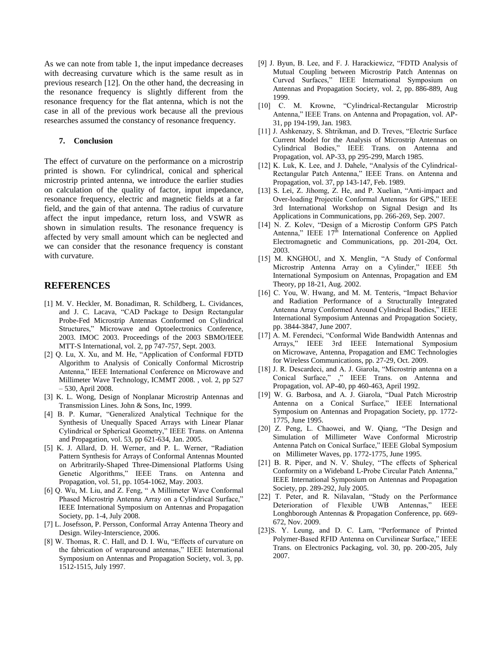As we can note from table 1, the input impedance decreases with decreasing curvature which is the same result as in previous research [12]. On the other hand, the decreasing in the resonance frequency is slightly different from the resonance frequency for the flat antenna, which is not the case in all of the previous work because all the previous researches assumed the constancy of resonance frequency.

## **7. Conclusion**

The effect of curvature on the performance on a microstrip printed is shown. For cylindrical, conical and spherical microstrip printed antenna, we introduce the earlier studies on calculation of the quality of factor, input impedance, resonance frequency, electric and magnetic fields at a far field, and the gain of that antenna. The radius of curvature affect the input impedance, return loss, and VSWR as shown in simulation results. The resonance frequency is affected by very small amount which can be neglected and we can consider that the resonance frequency is constant with curvature.

## **REFERENCES**

- [1] M. V. Heckler, M. Bonadiman, R. Schildberg, L. Cividances, and J. C. Lacava, "CAD Package to Design Rectangular Probe-Fed Microstrip Antennas Conformed on Cylindrical Structures," [Microwave and Optoelectronics Conference,](http://ieeexplore.ieee.org/xpl/mostRecentIssue.jsp?punumber=8799)  [2003. IMOC 2003. Proceedings of the 2003 SBMO/IEEE](http://ieeexplore.ieee.org/xpl/mostRecentIssue.jsp?punumber=8799)  [MTT-S International, vol. 2, pp 747-757, Sept. 2003.](http://ieeexplore.ieee.org/xpl/mostRecentIssue.jsp?punumber=8799)
- [2] Q. Lu, X. Xu, and M. He, "Application of Conformal FDTD Algorithm to Analysis of Conically Conformal Microstrip Antenna," IEEE International Conference on [Microwave and](http://ieeexplore.ieee.org/xpl/mostRecentIssue.jsp?punumber=4525115)  [Millimeter Wave Technology, ICMMT 2008. ,](http://ieeexplore.ieee.org/xpl/mostRecentIssue.jsp?punumber=4525115) vol. 2, pp 527 – 530, April 2008.
- [3] K. L. Wong, Design of Nonplanar Microstrip Antennas and Transmission Lines. John & Sons, Inc, 1999.
- [4] B. P. Kumar, "Generalized Analytical Technique for the Synthesis of Unequally Spaced Arrays with Linear Planar Cylindrical or Spherical Geometry," IEEE Trans. on Antenna and Propagation, vol. 53, pp 621-634, Jan. 2005.
- [5] K. J. Allard, D. H. Werner, and P. L. Werner, "Radiation Pattern Synthesis for Arrays of Conformal Antennas Mounted on Arbritrarily-Shaped Three-Dimensional Platforms Using Genetic Algorithms," IEEE Trans. on Antenna and Propagation, vol. 51, pp. 1054-1062, May. 2003.
- [6] Q. Wu, M. Liu, and Z. Feng, " A Millimeter Wave Conformal Phased Microstrip Antenna Array on a Cylindrical Surface," IEEE International Symposium on [Antennas and Propagation](http://ieeexplore.ieee.org/xpl/mostRecentIssue.jsp?punumber=4604650)  [Society,](http://ieeexplore.ieee.org/xpl/mostRecentIssue.jsp?punumber=4604650) pp. 1-4, July 2008.
- [7] L. Josefsson, P. Persson, Conformal Array Antenna Theory and Design. Wiley-Interscience, 2006.
- [8] W. Thomas, R. C. Hall, and D. I. Wu, "Effects of curvature on the fabrication of wraparound antennas," IEEE International Symposium on [Antennas and Propagation Society,](http://ieeexplore.ieee.org/xpl/mostRecentIssue.jsp?punumber=4924) vol. 3, pp. 1512-1515, July 1997.
- [9] J. Byun, B. Lee, and F. J. Harackiewicz, "FDTD Analysis of Mutual Coupling between Microstrip Patch Antennas on Curved Surfaces," IEEE International Symposium on [Antennas and Propagation Society,](http://ieeexplore.ieee.org/xpl/mostRecentIssue.jsp?punumber=6373) vol. 2, pp. 886-889, Aug 1999.
- [10] C. M. Krowne, "Cylindrical-Rectangular Microstrip Antenna," IEEE Trans. on Antenna and Propagation, vol. AP-31, pp 194-199, Jan. 1983.
- [11] J. Ashkenazy, S. Shtrikman, and D. Treves, "Electric Surface Current Model for the Analysis of Microstrip Antennas on Cylindrical Bodies," IEEE Trans. on Antenna and Propagation, vol. AP-33, pp 295-299, March 1985.
- [12] K. Luk, K. Lee, and J. Dahele, "Analysis of the Cylindrical-Rectangular Patch Antenna," IEEE Trans. on Antenna and Propagation, vol. 37, pp 143-147, Feb. 1989.
- [13] S. Lei, Z. Jihomg, Z. He, and P. Xuelian, "Anti-impact and Over-loading Projectile Conformal Antennas for GPS," IEEE 3rd International Workshop on Signal Design and Its Applications in Communications, pp. 266-269, Sep. 2007.
- [14] N. Z. Kolev, "Design of a Microstip Conform GPS Patch Antenna," IEEE  $17^{\overline{h}}$  International Conference on Applied Electromagnetic and Communications, pp. 201-204, Oct. 2003.
- [15] M. KNGHOU, and X. Menglin, "A Study of Conformal Microstrip Antenna Array on a Cylinder," IEEE 5th International Symposium on [Antennas, Propagation and EM](http://ieeexplore.ieee.org/xpl/mostRecentIssue.jsp?punumber=7185)  [Theory, pp 18-21, Aug. 2002.](http://ieeexplore.ieee.org/xpl/mostRecentIssue.jsp?punumber=7185)
- [16] C. You, W. Hwang, and M. M. Tenteris, "Impact Behavior and Radiation Performance of a Structurally Integrated Antenna Array Conformed Around Cylindrical Bodies," IEEE International Symposium [Antennas and Propagation Society,](http://ieeexplore.ieee.org/xpl/mostRecentIssue.jsp?punumber=4395409) pp. 3844-3847, June 2007.
- [17] A. M. Ferendeci, "Conformal Wide Bandwidth Antennas and Arrays," IEEE 3rd IEEE International Symposium on [Microwave, Antenna, Propagation and EMC Technologies](http://ieeexplore.ieee.org/xpl/mostRecentIssue.jsp?punumber=5347308)  [for Wireless Communications, pp. 27-29, Oct. 2009.](http://ieeexplore.ieee.org/xpl/mostRecentIssue.jsp?punumber=5347308)
- [18] J. R. Descardeci, and A. J. Giarola, "Microstrip antenna on a Conical Surface," ," IEEE Trans. on Antenna and Propagation, vol. AP-40, pp 460-463, April 1992.
- [19] W. G. Barbosa, and A. J. Giarola, "Dual Patch Microstrip Antenna on a Conical Surface," IEEE International Symposium on [Antennas and Propagation Society, pp. 1772-](http://ieeexplore.ieee.org/xpl/mostRecentIssue.jsp?punumber=3934) [1775, June 1995.](http://ieeexplore.ieee.org/xpl/mostRecentIssue.jsp?punumber=3934)
- [20] Z. Peng, L. Chaowei, and W. Qiang, "The Design and Simulation of Millimeter Wave Conformal Microstrip Antenna Patch on Conical Surface," IEEE [Global Symposium](http://ieeexplore.ieee.org/xpl/mostRecentIssue.jsp?punumber=4525117)  [on](http://ieeexplore.ieee.org/xpl/mostRecentIssue.jsp?punumber=4525117) [Millimeter Waves,](http://ieeexplore.ieee.org/xpl/mostRecentIssue.jsp?punumber=4525117) pp. 1772-1775, June 1995.
- [21] B. R. Piper, and N. V. Shuley, "The effects of Spherical Conformity on a Wideband L-Probe Circular Patch Antenna," IEEE International Symposium on [Antennas and Propagation](http://ieeexplore.ieee.org/xpl/mostRecentIssue.jsp?punumber=10402)  [Society,](http://ieeexplore.ieee.org/xpl/mostRecentIssue.jsp?punumber=10402) pp. 289-292, July 2005.
- [22] T. Peter, and R. Nilavalan, "Study on the Performance Deterioration of Flexible UWB Antennas," IEEE Longhborough Antennas & Propagation Conference, pp. 669- 672, Nov. 2009.
- [23] S. Y. Leung, and D. C. Lam, "Performance of Printed Polymer-Based RFID Antenna on Curvilinear Surface," IEEE Trans. on Electronics Packaging, vol. 30, pp. 200-205, July 2007.